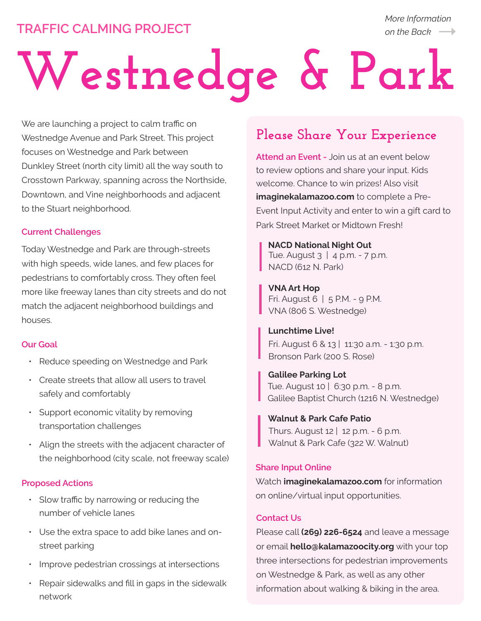# **TRAFFIC CALMING PROJECT**

*More Information on the Back*

# **Westnedge & Park**

We are launching a project to calm traffic on Westnedge Avenue and Park Street. This project focuses on Westnedge and Park between Dunkley Street (north city limit) all the way south to Crosstown Parkway, spanning across the Northside, Downtown, and Vine neighborhoods and adjacent to the Stuart neighborhood.

### **Current Challenges**

Today Westnedge and Park are through-streets with high speeds, wide lanes, and few places for pedestrians to comfortably cross. They often feel more like freeway lanes than city streets and do not match the adjacent neighborhood buildings and houses.

#### **Our Goal**

- Reduce speeding on Westnedge and Park
- Create streets that allow all users to travel safely and comfortably
- Support economic vitality by removing transportation challenges
- Align the streets with the adjacent character of the neighborhood (city scale, not freeway scale)

## **Proposed Actions**

- Slow traffic by narrowing or reducing the number of vehicle lanes
- Use the extra space to add bike lanes and onstreet parking
- Improve pedestrian crossings at intersections
- Repair sidewalks and fill in gaps in the sidewalk network

# **Please Share Your Experience**

**Attend an Event -** Join us at an event below to review options and share your input. Kids welcome. Chance to win prizes! Also visit **imaginekalamazoo.com** to complete a Pre-Event Input Activity and enter to win a gift card to Park Street Market or Midtown Fresh!

Tue. August 3 | 4 p.m. - 7 p.m. NACD (612 N. Park) **NACD National Night Out**

Fri. August 6 | 5 P.M. - 9 P.M. VNA (806 S. Westnedge) **VNA Art Hop**

Fri. August 6 & 13 | 11:30 a.m. - 1:30 p.m. Bronson Park (200 S. Rose) **Lunchtime Live!**

Tue. August 10 | 6:30 p.m. - 8 p.m. Galilee Baptist Church (1216 N. Westnedge) **Galilee Parking Lot**

## **Walnut & Park Cafe Patio**

Thurs. August 12 | 12 p.m. - 6 p.m. Walnut & Park Cafe (322 W. Walnut)

#### **Share Input Online**

Watch **imaginekalamazoo.com** for information on online/virtual input opportunities.

### **Contact Us**

Please call **(269) 226-6524** and leave a message or email **hello@kalamazoocity.org** with your top three intersections for pedestrian improvements on Westnedge & Park, as well as any other information about walking & biking in the area.